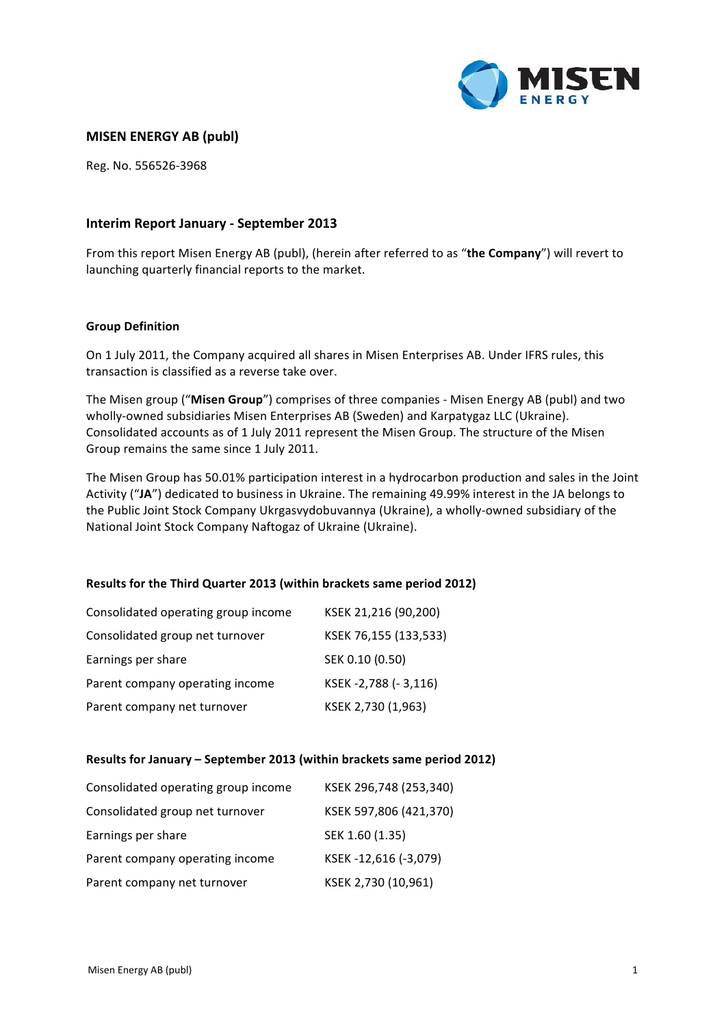

# **MISEN ENERGY AB (publ)**

Reg. No. 556526-3968

# **Interim Report January - September 2013**

From this report Misen Energy AB (publ), (herein after referred to as "the Company") will revert to launching quarterly financial reports to the market.

### **Group Definition**

On 1 July 2011, the Company acquired all shares in Misen Enterprises AB. Under IFRS rules, this transaction is classified as a reverse take over.

The Misen group ("Misen Group") comprises of three companies - Misen Energy AB (publ) and two wholly-owned subsidiaries Misen Enterprises AB (Sweden) and Karpatygaz LLC (Ukraine). Consolidated accounts as of 1 July 2011 represent the Misen Group. The structure of the Misen Group remains the same since 1 July 2011.

The Misen Group has 50.01% participation interest in a hydrocarbon production and sales in the Joint Activity ("JA") dedicated to business in Ukraine. The remaining 49.99% interest in the JA belongs to the Public Joint Stock Company Ukrgasvydobuvannya (Ukraine), a wholly-owned subsidiary of the National Joint Stock Company Naftogaz of Ukraine (Ukraine).

### **Results for the Third Quarter 2013 (within brackets same period 2012)**

| Consolidated operating group income | KSEK 21,216 (90,200)  |
|-------------------------------------|-----------------------|
| Consolidated group net turnover     | KSEK 76,155 (133,533) |
| Earnings per share                  | SEK 0.10 (0.50)       |
| Parent company operating income     | KSEK-2,788 (-3,116)   |
| Parent company net turnover         | KSEK 2,730 (1,963)    |

### Results for January - September 2013 (within brackets same period 2012)

| Consolidated operating group income | KSEK 296,748 (253,340) |
|-------------------------------------|------------------------|
| Consolidated group net turnover     | KSEK 597,806 (421,370) |
| Earnings per share                  | SEK 1.60 (1.35)        |
| Parent company operating income     | KSEK-12,616 (-3,079)   |
| Parent company net turnover         | KSEK 2,730 (10,961)    |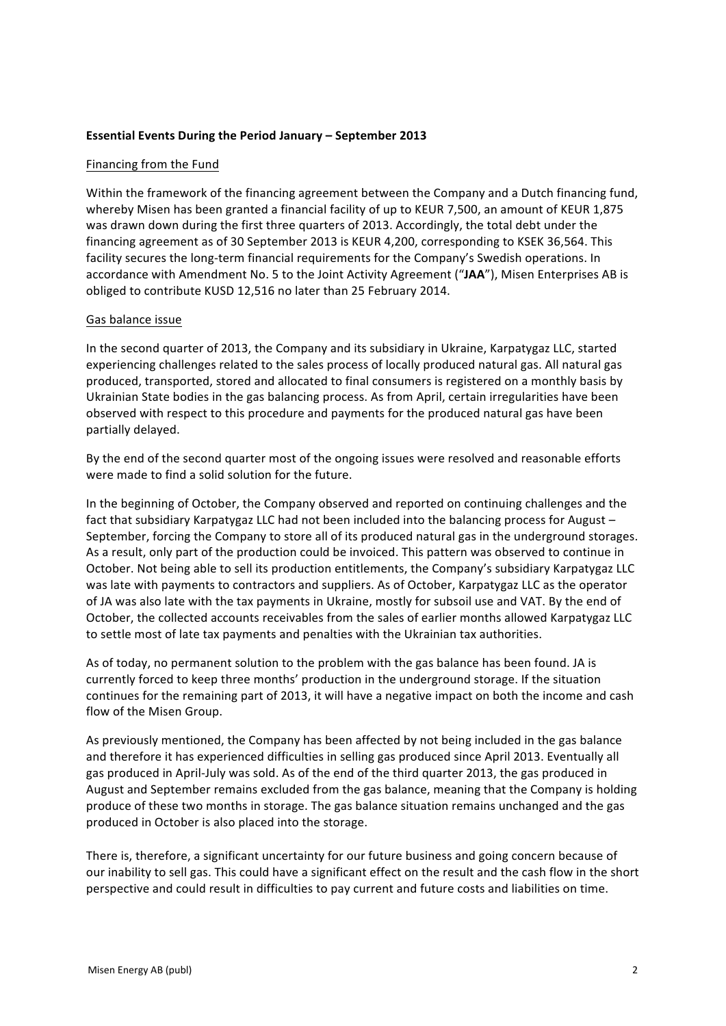# **Essential Events During the Period January - September 2013**

# Financing from the Fund

Within the framework of the financing agreement between the Company and a Dutch financing fund, whereby Misen has been granted a financial facility of up to KEUR 7,500, an amount of KEUR 1,875 was drawn down during the first three quarters of 2013. Accordingly, the total debt under the financing agreement as of 30 September 2013 is KEUR 4,200, corresponding to KSEK 36,564. This facility secures the long-term financial requirements for the Company's Swedish operations. In accordance with Amendment No. 5 to the Joint Activity Agreement ("JAA"), Misen Enterprises AB is obliged to contribute KUSD 12,516 no later than 25 February 2014.

# Gas balance issue

In the second quarter of 2013, the Company and its subsidiary in Ukraine, Karpatygaz LLC, started experiencing challenges related to the sales process of locally produced natural gas. All natural gas produced, transported, stored and allocated to final consumers is registered on a monthly basis by Ukrainian State bodies in the gas balancing process. As from April, certain irregularities have been observed with respect to this procedure and payments for the produced natural gas have been partially delayed.

By the end of the second quarter most of the ongoing issues were resolved and reasonable efforts were made to find a solid solution for the future.

In the beginning of October, the Company observed and reported on continuing challenges and the fact that subsidiary Karpatygaz LLC had not been included into the balancing process for August  $-$ September, forcing the Company to store all of its produced natural gas in the underground storages. As a result, only part of the production could be invoiced. This pattern was observed to continue in October. Not being able to sell its production entitlements, the Company's subsidiary Karpatygaz LLC was late with payments to contractors and suppliers. As of October, Karpatygaz LLC as the operator of JA was also late with the tax payments in Ukraine, mostly for subsoil use and VAT. By the end of October, the collected accounts receivables from the sales of earlier months allowed Karpatygaz LLC to settle most of late tax payments and penalties with the Ukrainian tax authorities.

As of today, no permanent solution to the problem with the gas balance has been found. JA is currently forced to keep three months' production in the underground storage. If the situation continues for the remaining part of 2013, it will have a negative impact on both the income and cash flow of the Misen Group.

As previously mentioned, the Company has been affected by not being included in the gas balance and therefore it has experienced difficulties in selling gas produced since April 2013. Eventually all gas produced in April-July was sold. As of the end of the third quarter 2013, the gas produced in August and September remains excluded from the gas balance, meaning that the Company is holding produce of these two months in storage. The gas balance situation remains unchanged and the gas produced in October is also placed into the storage.

There is, therefore, a significant uncertainty for our future business and going concern because of our inability to sell gas. This could have a significant effect on the result and the cash flow in the short perspective and could result in difficulties to pay current and future costs and liabilities on time.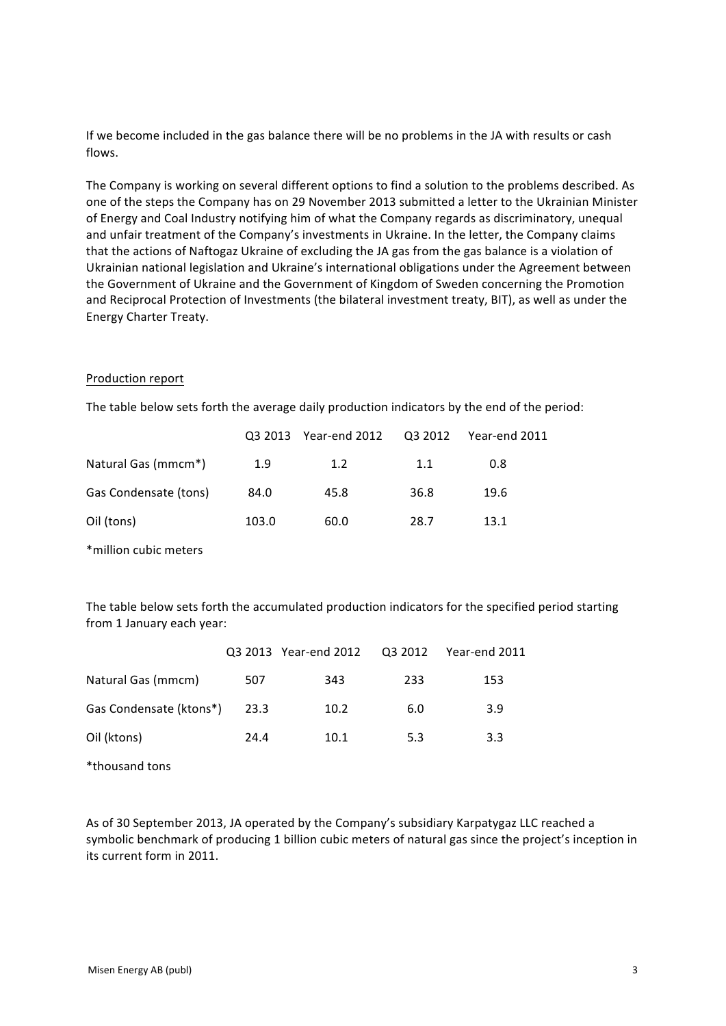If we become included in the gas balance there will be no problems in the JA with results or cash flows. 

The Company is working on several different options to find a solution to the problems described. As one of the steps the Company has on 29 November 2013 submitted a letter to the Ukrainian Minister of Energy and Coal Industry notifying him of what the Company regards as discriminatory, unequal and unfair treatment of the Company's investments in Ukraine. In the letter, the Company claims that the actions of Naftogaz Ukraine of excluding the JA gas from the gas balance is a violation of Ukrainian national legislation and Ukraine's international obligations under the Agreement between the Government of Ukraine and the Government of Kingdom of Sweden concerning the Promotion and Reciprocal Protection of Investments (the bilateral investment treaty, BIT), as well as under the Energy Charter Treaty. 

# Production report

The table below sets forth the average daily production indicators by the end of the period:

|                       |       | Q3 2013 Year-end 2012 | Q3 2012 | Year-end 2011 |
|-----------------------|-------|-----------------------|---------|---------------|
| Natural Gas (mmcm*)   | 1.9   | 1.2                   | 1.1     | 0.8           |
| Gas Condensate (tons) | 84.0  | 45.8                  | 36.8    | 19.6          |
| Oil (tons)            | 103.0 | 60.0                  | 28.7    | 13.1          |

\*million cubic meters 

The table below sets forth the accumulated production indicators for the specified period starting from 1 January each year:

|                         |        | Q3 2013 Year-end 2012  Q3 2012  Year-end 2011 |     |     |
|-------------------------|--------|-----------------------------------------------|-----|-----|
| Natural Gas (mmcm)      | 507    | 343                                           | 233 | 153 |
| Gas Condensate (ktons*) | - 23.3 | 10.2                                          | 6.0 | 3.9 |
| Oil (ktons)             | 24.4   | 10.1                                          | 5.3 | 3.3 |

\*thousand tons 

As of 30 September 2013, JA operated by the Company's subsidiary Karpatygaz LLC reached a symbolic benchmark of producing 1 billion cubic meters of natural gas since the project's inception in its current form in 2011.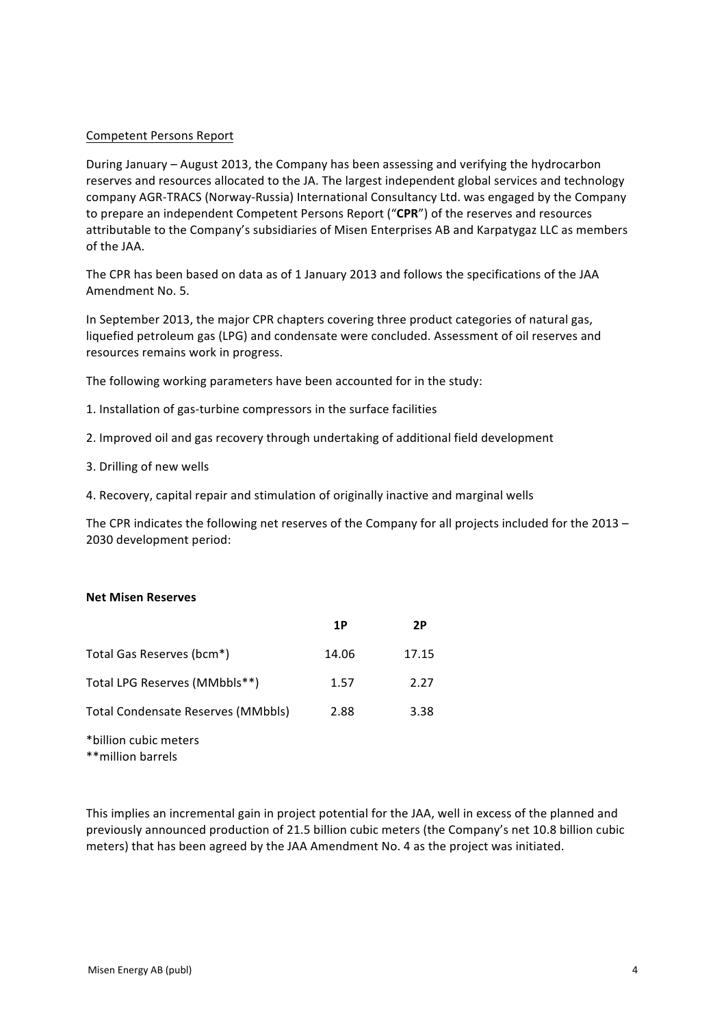# Competent Persons Report

During January – August 2013, the Company has been assessing and verifying the hydrocarbon reserves and resources allocated to the JA. The largest independent global services and technology company AGR-TRACS (Norway-Russia) International Consultancy Ltd. was engaged by the Company to prepare an independent Competent Persons Report ("CPR") of the reserves and resources attributable to the Company's subsidiaries of Misen Enterprises AB and Karpatygaz LLC as members of the JAA.

The CPR has been based on data as of 1 January 2013 and follows the specifications of the JAA Amendment No. 5.

In September 2013, the major CPR chapters covering three product categories of natural gas, liquefied petroleum gas (LPG) and condensate were concluded. Assessment of oil reserves and resources remains work in progress.

The following working parameters have been accounted for in the study:

- 1. Installation of gas-turbine compressors in the surface facilities
- 2. Improved oil and gas recovery through undertaking of additional field development
- 3. Drilling of new wells
- 4. Recovery, capital repair and stimulation of originally inactive and marginal wells

The CPR indicates the following net reserves of the Company for all projects included for the 2013 -2030 development period:

### **Net Misen Reserves**

|                                    | 1P    | 2P    |
|------------------------------------|-------|-------|
| Total Gas Reserves (bcm*)          | 14.06 | 17.15 |
| Total LPG Reserves (MMbbls**)      | 1.57  | 2.27  |
| Total Condensate Reserves (MMbbls) | 2.88  | 3.38  |
|                                    |       |       |

\*billion cubic meters

\*\*million barrels

This implies an incremental gain in project potential for the JAA, well in excess of the planned and previously announced production of 21.5 billion cubic meters (the Company's net 10.8 billion cubic meters) that has been agreed by the JAA Amendment No. 4 as the project was initiated.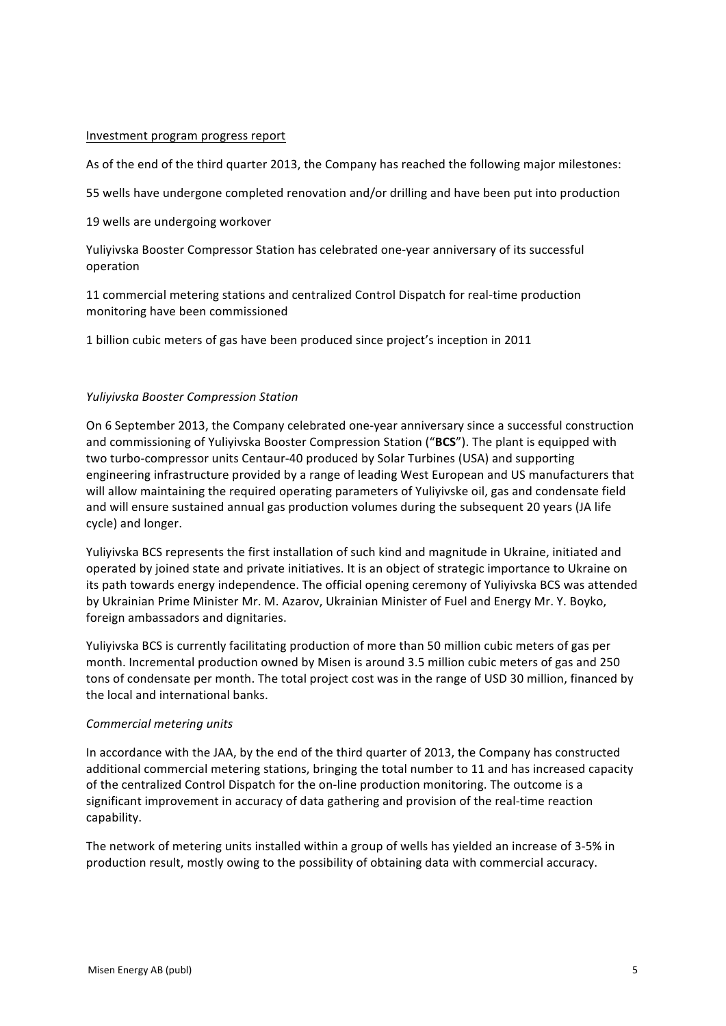### Investment program progress report

As of the end of the third quarter 2013, the Company has reached the following major milestones:

55 wells have undergone completed renovation and/or drilling and have been put into production

19 wells are undergoing workover

Yuliviyska Booster Compressor Station has celebrated one-year anniversary of its successful operation 

11 commercial metering stations and centralized Control Dispatch for real-time production monitoring have been commissioned

1 billion cubic meters of gas have been produced since project's inception in 2011

# *Yuliyivska Booster Compression Station*

On 6 September 2013, the Company celebrated one-year anniversary since a successful construction and commissioning of Yuliyivska Booster Compression Station ("BCS"). The plant is equipped with two turbo-compressor units Centaur-40 produced by Solar Turbines (USA) and supporting engineering infrastructure provided by a range of leading West European and US manufacturers that will allow maintaining the required operating parameters of Yuliyivske oil, gas and condensate field and will ensure sustained annual gas production volumes during the subsequent 20 years (JA life cycle) and longer.

Yuliyivska BCS represents the first installation of such kind and magnitude in Ukraine, initiated and operated by joined state and private initiatives. It is an object of strategic importance to Ukraine on its path towards energy independence. The official opening ceremony of Yuliyivska BCS was attended by Ukrainian Prime Minister Mr. M. Azarov, Ukrainian Minister of Fuel and Energy Mr. Y. Boyko, foreign ambassadors and dignitaries.

Yuliyivska BCS is currently facilitating production of more than 50 million cubic meters of gas per month. Incremental production owned by Misen is around 3.5 million cubic meters of gas and 250 tons of condensate per month. The total project cost was in the range of USD 30 million, financed by the local and international banks.

### *Commercial metering units*

In accordance with the JAA, by the end of the third quarter of 2013, the Company has constructed additional commercial metering stations, bringing the total number to 11 and has increased capacity of the centralized Control Dispatch for the on-line production monitoring. The outcome is a significant improvement in accuracy of data gathering and provision of the real-time reaction capability. 

The network of metering units installed within a group of wells has yielded an increase of 3-5% in production result, mostly owing to the possibility of obtaining data with commercial accuracy.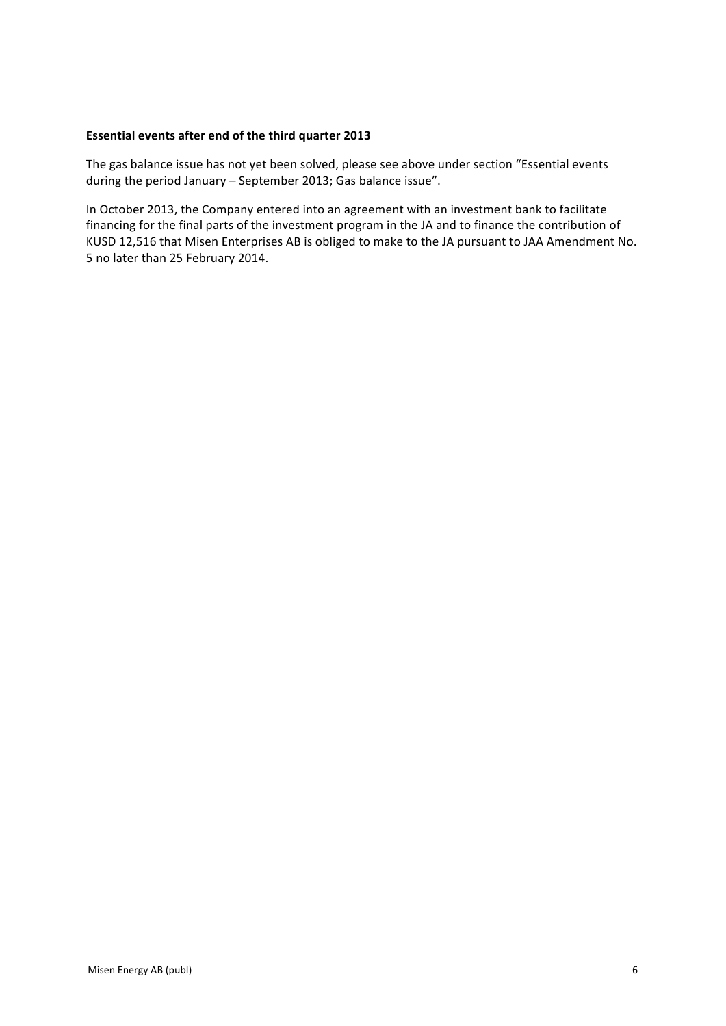# **Essential events after end of the third quarter 2013**

The gas balance issue has not yet been solved, please see above under section "Essential events during the period January - September 2013; Gas balance issue".

In October 2013, the Company entered into an agreement with an investment bank to facilitate financing for the final parts of the investment program in the JA and to finance the contribution of KUSD 12,516 that Misen Enterprises AB is obliged to make to the JA pursuant to JAA Amendment No. 5 no later than 25 February 2014.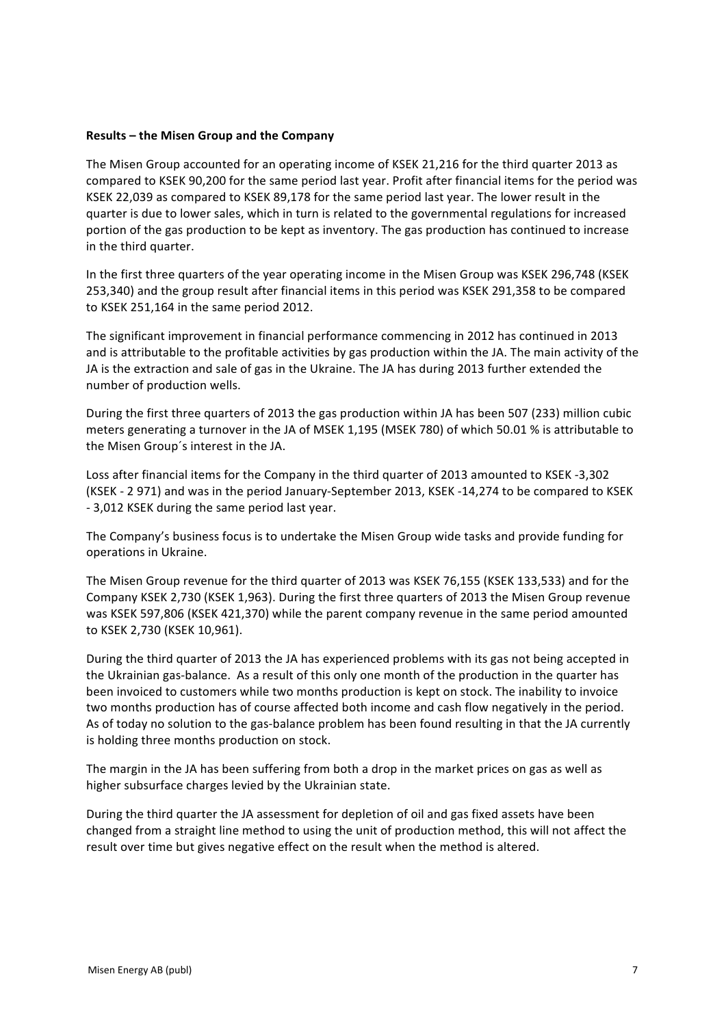### **Results** – the Misen Group and the Company

The Misen Group accounted for an operating income of KSEK 21,216 for the third quarter 2013 as compared to KSEK 90,200 for the same period last year. Profit after financial items for the period was KSEK 22,039 as compared to KSEK 89,178 for the same period last year. The lower result in the quarter is due to lower sales, which in turn is related to the governmental regulations for increased portion of the gas production to be kept as inventory. The gas production has continued to increase in the third quarter.

In the first three quarters of the year operating income in the Misen Group was KSEK 296,748 (KSEK 253,340) and the group result after financial items in this period was KSEK 291,358 to be compared to KSEK 251,164 in the same period 2012.

The significant improvement in financial performance commencing in 2012 has continued in 2013 and is attributable to the profitable activities by gas production within the JA. The main activity of the JA is the extraction and sale of gas in the Ukraine. The JA has during 2013 further extended the number of production wells.

During the first three quarters of 2013 the gas production within JA has been 507 (233) million cubic meters generating a turnover in the JA of MSEK 1,195 (MSEK 780) of which 50.01 % is attributable to the Misen Group's interest in the JA.

Loss after financial items for the Company in the third quarter of 2013 amounted to KSEK -3,302 (KSEK - 2 971) and was in the period January-September 2013, KSEK -14,274 to be compared to KSEK - 3,012 KSEK during the same period last year.

The Company's business focus is to undertake the Misen Group wide tasks and provide funding for operations in Ukraine.

The Misen Group revenue for the third quarter of 2013 was KSEK 76,155 (KSEK 133,533) and for the Company KSEK 2,730 (KSEK 1,963). During the first three quarters of 2013 the Misen Group revenue was KSEK 597,806 (KSEK 421,370) while the parent company revenue in the same period amounted to KSEK 2,730 (KSEK 10,961).

During the third quarter of 2013 the JA has experienced problems with its gas not being accepted in the Ukrainian gas-balance. As a result of this only one month of the production in the quarter has been invoiced to customers while two months production is kept on stock. The inability to invoice two months production has of course affected both income and cash flow negatively in the period. As of today no solution to the gas-balance problem has been found resulting in that the JA currently is holding three months production on stock.

The margin in the JA has been suffering from both a drop in the market prices on gas as well as higher subsurface charges levied by the Ukrainian state.

During the third quarter the JA assessment for depletion of oil and gas fixed assets have been changed from a straight line method to using the unit of production method, this will not affect the result over time but gives negative effect on the result when the method is altered.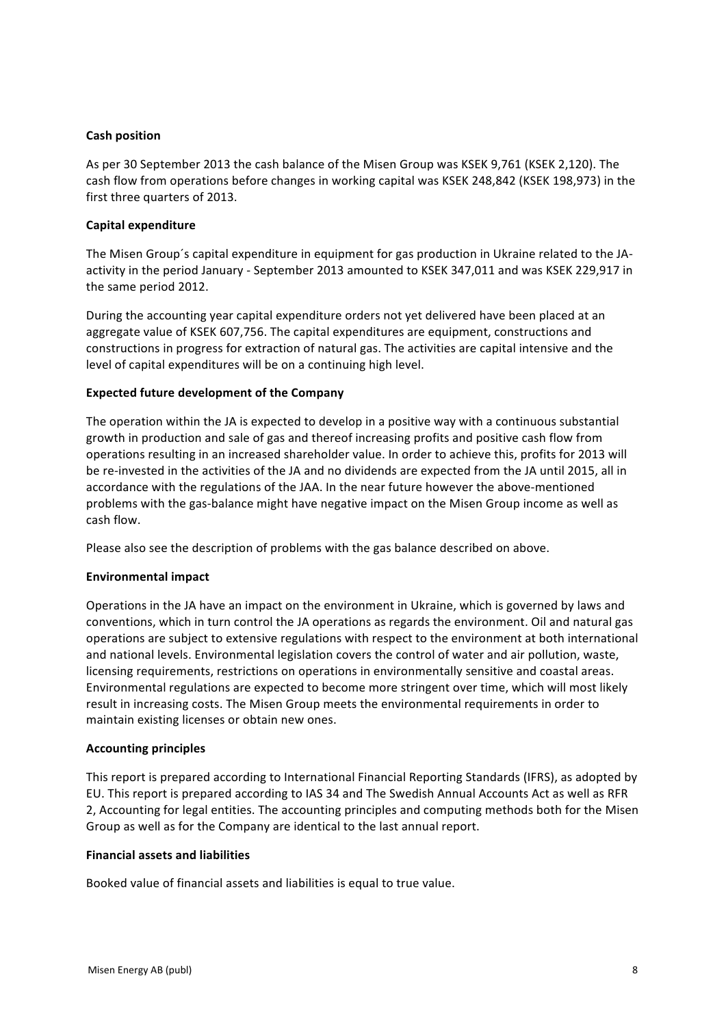# **Cash position**

As per 30 September 2013 the cash balance of the Misen Group was KSEK 9,761 (KSEK 2,120). The cash flow from operations before changes in working capital was KSEK 248,842 (KSEK 198,973) in the first three quarters of 2013.

# **Capital expenditure**

The Misen Group's capital expenditure in equipment for gas production in Ukraine related to the JAactivity in the period January - September 2013 amounted to KSEK 347,011 and was KSEK 229,917 in the same period 2012.

During the accounting year capital expenditure orders not yet delivered have been placed at an aggregate value of KSEK 607,756. The capital expenditures are equipment, constructions and constructions in progress for extraction of natural gas. The activities are capital intensive and the level of capital expenditures will be on a continuing high level.

# **Expected future development of the Company**

The operation within the JA is expected to develop in a positive way with a continuous substantial growth in production and sale of gas and thereof increasing profits and positive cash flow from operations resulting in an increased shareholder value. In order to achieve this, profits for 2013 will be re-invested in the activities of the JA and no dividends are expected from the JA until 2015, all in accordance with the regulations of the JAA. In the near future however the above-mentioned problems with the gas-balance might have negative impact on the Misen Group income as well as cash flow.

Please also see the description of problems with the gas balance described on above.

# **Environmental impact**

Operations in the JA have an impact on the environment in Ukraine, which is governed by laws and conventions, which in turn control the JA operations as regards the environment. Oil and natural gas operations are subject to extensive regulations with respect to the environment at both international and national levels. Environmental legislation covers the control of water and air pollution, waste, licensing requirements, restrictions on operations in environmentally sensitive and coastal areas. Environmental regulations are expected to become more stringent over time, which will most likely result in increasing costs. The Misen Group meets the environmental requirements in order to maintain existing licenses or obtain new ones.

# **Accounting principles**

This report is prepared according to International Financial Reporting Standards (IFRS), as adopted by EU. This report is prepared according to IAS 34 and The Swedish Annual Accounts Act as well as RFR 2, Accounting for legal entities. The accounting principles and computing methods both for the Misen Group as well as for the Company are identical to the last annual report.

# **Financial assets and liabilities**

Booked value of financial assets and liabilities is equal to true value.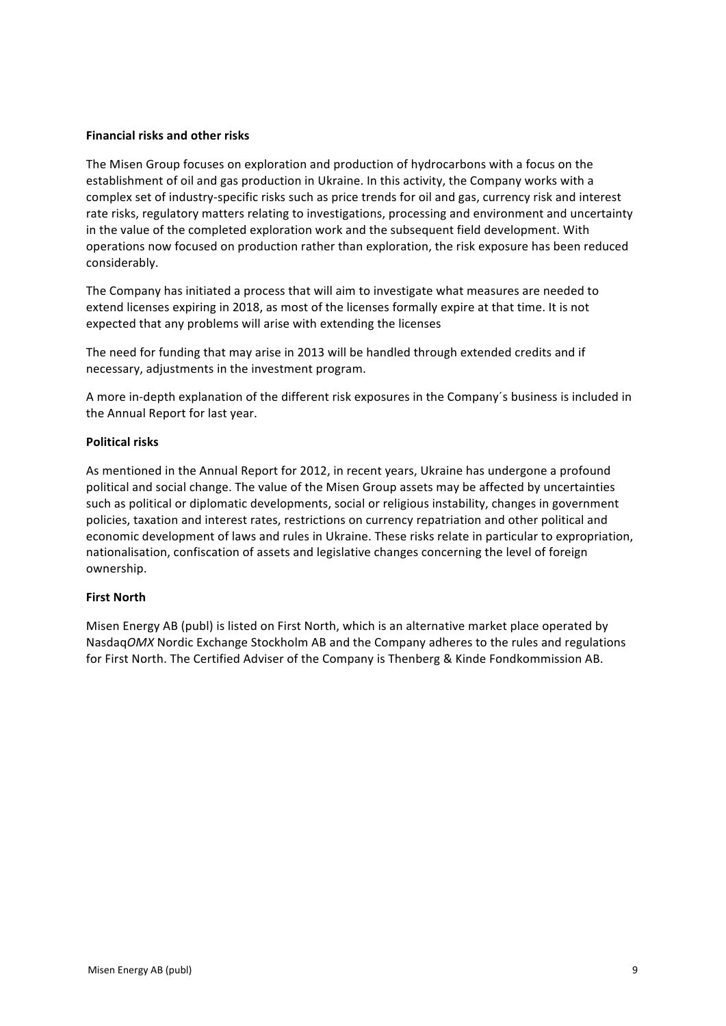# **Financial risks and other risks**

The Misen Group focuses on exploration and production of hydrocarbons with a focus on the establishment of oil and gas production in Ukraine. In this activity, the Company works with a complex set of industry-specific risks such as price trends for oil and gas, currency risk and interest rate risks, regulatory matters relating to investigations, processing and environment and uncertainty in the value of the completed exploration work and the subsequent field development. With operations now focused on production rather than exploration, the risk exposure has been reduced considerably.

The Company has initiated a process that will aim to investigate what measures are needed to extend licenses expiring in 2018, as most of the licenses formally expire at that time. It is not expected that any problems will arise with extending the licenses

The need for funding that may arise in 2013 will be handled through extended credits and if necessary, adjustments in the investment program.

A more in-depth explanation of the different risk exposures in the Company's business is included in the Annual Report for last year.

# **Political risks**

As mentioned in the Annual Report for 2012, in recent years, Ukraine has undergone a profound political and social change. The value of the Misen Group assets may be affected by uncertainties such as political or diplomatic developments, social or religious instability, changes in government policies, taxation and interest rates, restrictions on currency repatriation and other political and economic development of laws and rules in Ukraine. These risks relate in particular to expropriation, nationalisation, confiscation of assets and legislative changes concerning the level of foreign ownership. 

### **First North**

Misen Energy AB (publ) is listed on First North, which is an alternative market place operated by Nasdaq*OMX* Nordic Exchange Stockholm AB and the Company adheres to the rules and regulations for First North. The Certified Adviser of the Company is Thenberg & Kinde Fondkommission AB.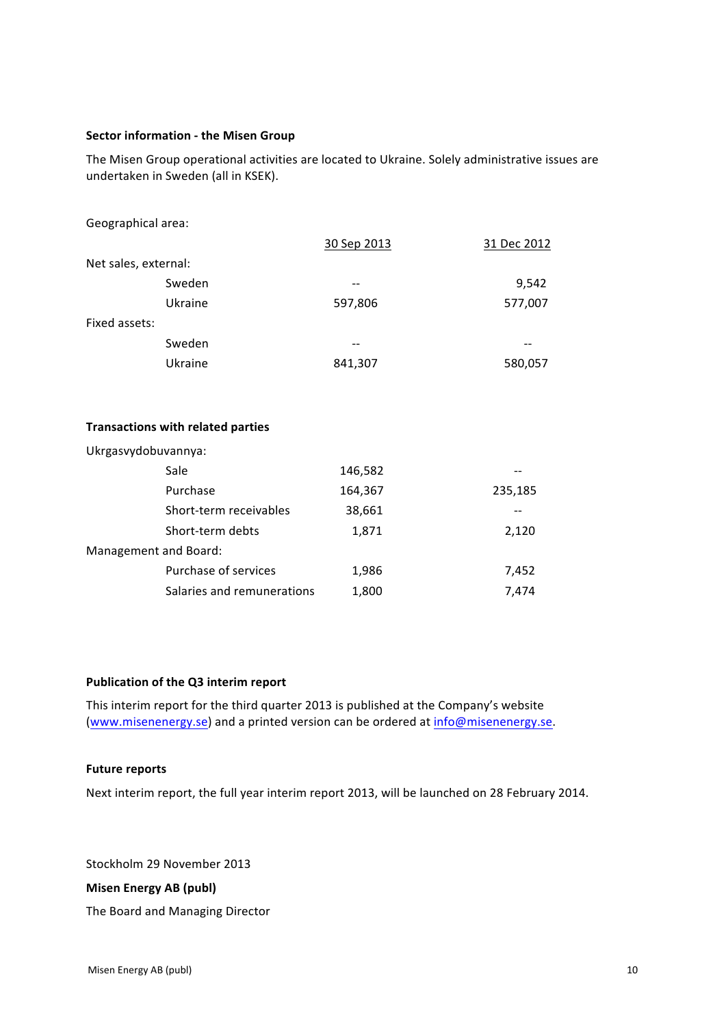# **Sector information - the Misen Group**

The Misen Group operational activities are located to Ukraine. Solely administrative issues are undertaken in Sweden (all in KSEK).

| Geographical area:   |         |             |             |
|----------------------|---------|-------------|-------------|
|                      |         | 30 Sep 2013 | 31 Dec 2012 |
| Net sales, external: |         |             |             |
|                      | Sweden  | --          | 9,542       |
|                      | Ukraine | 597,806     | 577,007     |
| Fixed assets:        |         |             |             |
|                      | Sweden  |             |             |
|                      | Ukraine | 841,307     | 580,057     |

### **Transactions with related parties**

| Ukrgasvydobuvannya:        |         |         |
|----------------------------|---------|---------|
| Sale                       | 146,582 |         |
| Purchase                   | 164,367 | 235,185 |
| Short-term receivables     | 38,661  |         |
| Short-term debts           | 1,871   | 2,120   |
| Management and Board:      |         |         |
| Purchase of services       | 1,986   | 7,452   |
| Salaries and remunerations | 1,800   | 7.474   |

# **Publication of the Q3 interim report**

This interim report for the third quarter 2013 is published at the Company's website (www.misenenergy.se) and a printed version can be ordered at info@misenenergy.se.

### **Future reports**

Next interim report, the full year interim report 2013, will be launched on 28 February 2014.

Stockholm 29 November 2013

## **Misen Energy AB (publ)**

The Board and Managing Director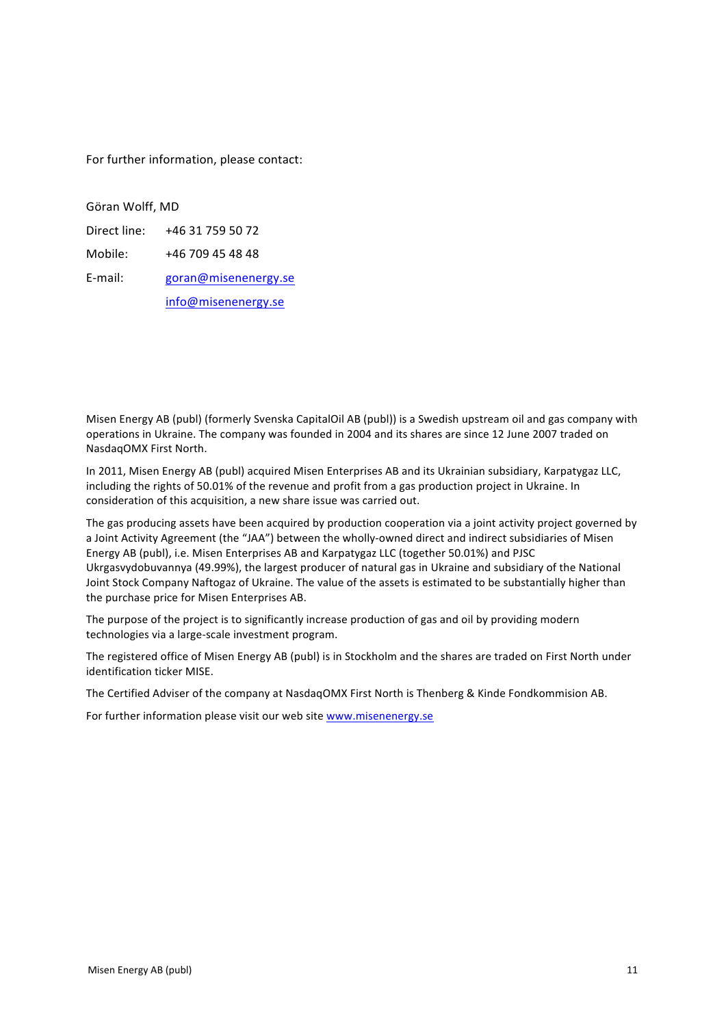For further information, please contact:

Göran Wolff, MD

Direct line: +46 31 759 50 72 Mobile: +46 709 45 48 48 E-mail: goran@misenenergy.se info@misenenergy.se 

Misen Energy AB (publ) (formerly Svenska CapitalOil AB (publ)) is a Swedish upstream oil and gas company with operations in Ukraine. The company was founded in 2004 and its shares are since 12 June 2007 traded on NasdaqOMX First North.

In 2011, Misen Energy AB (publ) acquired Misen Enterprises AB and its Ukrainian subsidiary, Karpatygaz LLC, including the rights of 50.01% of the revenue and profit from a gas production project in Ukraine. In consideration of this acquisition, a new share issue was carried out.

The gas producing assets have been acquired by production cooperation via a joint activity project governed by a Joint Activity Agreement (the "JAA") between the wholly-owned direct and indirect subsidiaries of Misen Energy AB (publ), i.e. Misen Enterprises AB and Karpatygaz LLC (together 50.01%) and PJSC Ukrgasvydobuvannya (49.99%), the largest producer of natural gas in Ukraine and subsidiary of the National Joint Stock Company Naftogaz of Ukraine. The value of the assets is estimated to be substantially higher than the purchase price for Misen Enterprises AB.

The purpose of the project is to significantly increase production of gas and oil by providing modern technologies via a large-scale investment program.

The registered office of Misen Energy AB (publ) is in Stockholm and the shares are traded on First North under identification ticker MISE.

The Certified Adviser of the company at NasdaqOMX First North is Thenberg & Kinde Fondkommision AB.

For further information please visit our web site www.misenenergy.se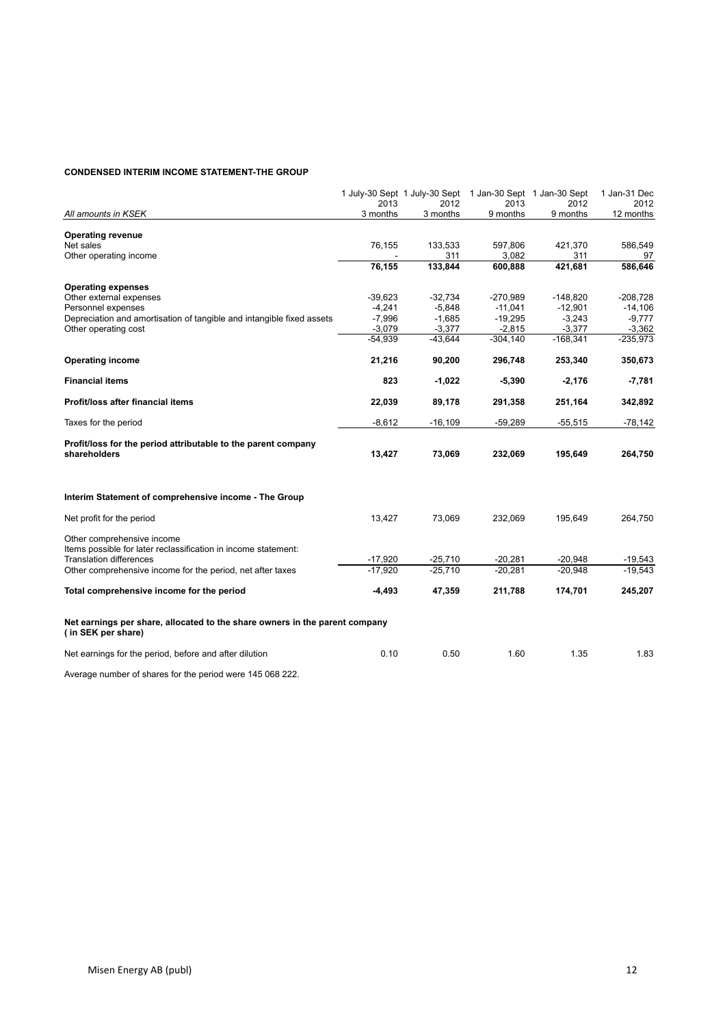#### **CONDENSED INTERIM INCOME STATEMENT-THE GROUP**

|                                                                                                   | 2013      | 1 July-30 Sept 1 July-30 Sept 1 Jan-30 Sept 1 Jan-30 Sept<br>2012 | 2013       | 2012       | 1 Jan-31 Dec<br>2012 |
|---------------------------------------------------------------------------------------------------|-----------|-------------------------------------------------------------------|------------|------------|----------------------|
| All amounts in KSEK                                                                               | 3 months  | 3 months                                                          | 9 months   | 9 months   | 12 months            |
|                                                                                                   |           |                                                                   |            |            |                      |
| <b>Operating revenue</b><br>Net sales                                                             | 76,155    | 133,533                                                           | 597,806    | 421,370    | 586,549              |
| Other operating income                                                                            |           | 311                                                               | 3,082      | 311        | 97                   |
|                                                                                                   | 76,155    | 133,844                                                           | 600,888    | 421,681    | 586,646              |
|                                                                                                   |           |                                                                   |            |            |                      |
| <b>Operating expenses</b>                                                                         |           |                                                                   |            |            |                      |
| Other external expenses                                                                           | $-39,623$ | $-32,734$                                                         | -270,989   | $-148,820$ | $-208,728$           |
| Personnel expenses                                                                                | $-4,241$  | $-5,848$                                                          | $-11,041$  | $-12,901$  | $-14,106$            |
| Depreciation and amortisation of tangible and intangible fixed assets                             | $-7,996$  | $-1,685$                                                          | $-19,295$  | $-3,243$   | -9,777               |
| Other operating cost                                                                              | $-3,079$  | $-3,377$                                                          | $-2,815$   | $-3,377$   | $-3,362$             |
|                                                                                                   | $-54,939$ | $-43,644$                                                         | $-304,140$ | $-168,341$ | $-235,973$           |
| <b>Operating income</b>                                                                           | 21,216    | 90,200                                                            | 296,748    | 253,340    | 350,673              |
| <b>Financial items</b>                                                                            | 823       | $-1,022$                                                          | $-5,390$   | $-2,176$   | $-7,781$             |
| Profit/loss after financial items                                                                 | 22,039    | 89,178                                                            | 291,358    | 251,164    | 342,892              |
| Taxes for the period                                                                              | $-8,612$  | $-16,109$                                                         | $-59,289$  | $-55,515$  | $-78,142$            |
| Profit/loss for the period attributable to the parent company                                     |           |                                                                   |            |            |                      |
| shareholders                                                                                      | 13,427    | 73,069                                                            | 232,069    | 195,649    | 264,750              |
| Interim Statement of comprehensive income - The Group                                             |           |                                                                   |            |            |                      |
| Net profit for the period                                                                         | 13,427    | 73,069                                                            | 232,069    | 195,649    | 264,750              |
| Other comprehensive income                                                                        |           |                                                                   |            |            |                      |
| Items possible for later reclassification in income statement:                                    |           |                                                                   |            |            |                      |
| <b>Translation differences</b>                                                                    | $-17.920$ | $-25,710$                                                         | $-20.281$  | $-20.948$  | $-19,543$            |
| Other comprehensive income for the period, net after taxes                                        | $-17,920$ | $-25.710$                                                         | $-20,281$  | $-20.948$  | $-19.543$            |
| Total comprehensive income for the period                                                         | -4,493    | 47,359                                                            | 211,788    | 174,701    | 245,207              |
| Net earnings per share, allocated to the share owners in the parent company<br>(in SEK per share) |           |                                                                   |            |            |                      |
| Net earnings for the period, before and after dilution                                            | 0.10      | 0.50                                                              | 1.60       | 1.35       | 1.83                 |
|                                                                                                   |           |                                                                   |            |            |                      |

Average number of shares for the period were 145 068 222.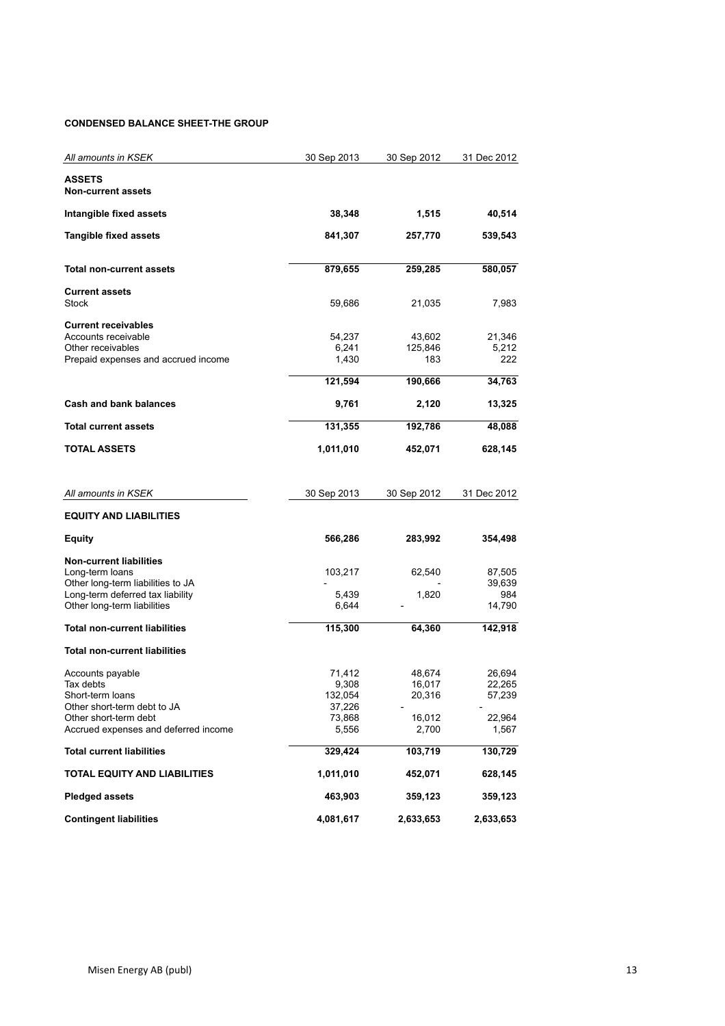### **CONDENSED BALANCE SHEET-THE GROUP**

| All amounts in KSEK                                                                                                                                       | 30 Sep 2013                                             | 30 Sep 2012                                   | 31 Dec 2012                                   |
|-----------------------------------------------------------------------------------------------------------------------------------------------------------|---------------------------------------------------------|-----------------------------------------------|-----------------------------------------------|
| <b>ASSETS</b><br><b>Non-current assets</b>                                                                                                                |                                                         |                                               |                                               |
| Intangible fixed assets                                                                                                                                   | 38,348                                                  | 1,515                                         | 40,514                                        |
| <b>Tangible fixed assets</b>                                                                                                                              | 841,307                                                 | 257,770                                       | 539,543                                       |
| <b>Total non-current assets</b>                                                                                                                           | 879,655                                                 | 259,285                                       | 580,057                                       |
| <b>Current assets</b><br><b>Stock</b>                                                                                                                     | 59,686                                                  | 21,035                                        | 7,983                                         |
| <b>Current receivables</b><br>Accounts receivable<br>Other receivables<br>Prepaid expenses and accrued income                                             | 54,237<br>6,241<br>1,430                                | 43,602<br>125,846<br>183                      | 21,346<br>5,212<br>222                        |
|                                                                                                                                                           | 121,594                                                 | 190,666                                       | 34,763                                        |
| Cash and bank balances                                                                                                                                    | 9,761                                                   | 2,120                                         | 13,325                                        |
| <b>Total current assets</b>                                                                                                                               | 131,355                                                 | 192,786                                       | 48,088                                        |
| <b>TOTAL ASSETS</b>                                                                                                                                       | 1,011,010                                               | 452,071                                       | 628,145                                       |
| All amounts in KSEK                                                                                                                                       | 30 Sep 2013                                             | 30 Sep 2012                                   | 31 Dec 2012                                   |
| <b>EQUITY AND LIABILITIES</b>                                                                                                                             |                                                         |                                               |                                               |
| Equity                                                                                                                                                    | 566,286                                                 | 283,992                                       | 354,498                                       |
| <b>Non-current liabilities</b><br>Long-term loans<br>Other long-term liabilities to JA<br>Long-term deferred tax liability<br>Other long-term liabilities | 103,217<br>5,439<br>6,644                               | 62,540<br>1,820                               | 87,505<br>39,639<br>984<br>14,790             |
| <b>Total non-current liabilities</b>                                                                                                                      | 115,300                                                 | 64,360                                        | 142,918                                       |
| <b>Total non-current liabilities</b>                                                                                                                      |                                                         |                                               |                                               |
| Accounts payable<br>Tax debts<br>Short-term loans<br>Other short-term debt to JA<br>Other short-term debt<br>Accrued expenses and deferred income         | 71,412<br>9,308<br>132,054<br>37,226<br>73,868<br>5,556 | 48,674<br>16,017<br>20,316<br>16,012<br>2,700 | 26,694<br>22,265<br>57,239<br>22,964<br>1,567 |
| <b>Total current liabilities</b>                                                                                                                          | 329,424                                                 | 103,719                                       | 130,729                                       |
| TOTAL EQUITY AND LIABILITIES                                                                                                                              | 1,011,010                                               | 452,071                                       | 628,145                                       |
| <b>Pledged assets</b>                                                                                                                                     | 463,903                                                 | 359,123                                       | 359,123                                       |
| <b>Contingent liabilities</b>                                                                                                                             | 4,081,617                                               | 2,633,653                                     | 2,633,653                                     |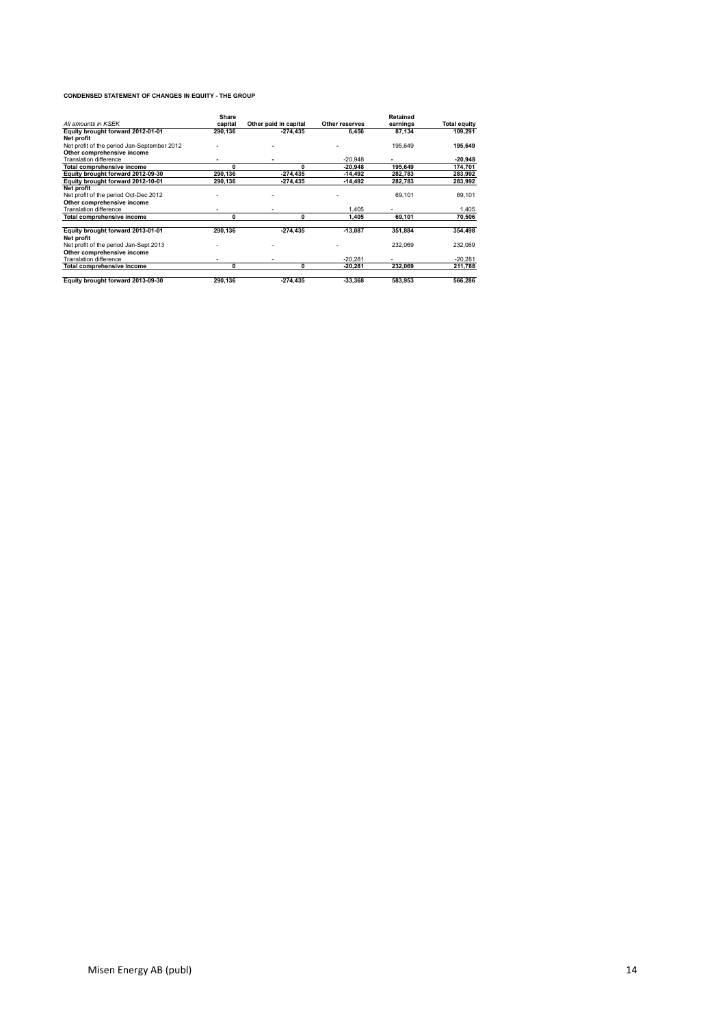#### **CONDENSED STATEMENT OF CHANGES IN EQUITY - THE GROUP**

|                                             | Share   |                       |                | <b>Retained</b> |                     |
|---------------------------------------------|---------|-----------------------|----------------|-----------------|---------------------|
| All amounts in KSEK                         | capital | Other paid in capital | Other reserves | earnings        | <b>Total equity</b> |
| Equity brought forward 2012-01-01           | 290,136 | $-274.435$            | 6,456          | 87,134          | 109,291             |
| Net profit                                  |         |                       |                |                 |                     |
| Net profit of the period Jan-September 2012 |         |                       |                | 195,649         | 195,649             |
| Other comprehensive income                  |         |                       |                |                 |                     |
| <b>Translation difference</b>               |         |                       | $-20.948$      |                 | $-20,948$           |
| Total comprehensive income                  | 0       | 0                     | $-20.948$      | 195,649         | 174.701             |
| Equity brought forward 2012-09-30           | 290.136 | $-274.435$            | $-14.492$      | 282,783         | 283,992             |
| Equity brought forward 2012-10-01           | 290,136 | -274,435              | $-14,492$      | 282,783         | 283,992             |
| Net profit                                  |         |                       |                |                 |                     |
| Net profit of the period Oct-Dec 2012       |         |                       |                | 69,101          | 69,101              |
| Other comprehensive income                  |         |                       |                |                 |                     |
| <b>Translation difference</b>               |         |                       | 1.405          |                 | 1.405               |
| Total comprehensive income                  | 0       | 0                     | 1.405          | 69,101          | 70,506              |
|                                             |         |                       |                |                 |                     |
| Equity brought forward 2013-01-01           | 290.136 | $-274,435$            | $-13,087$      | 351,884         | 354,498             |
| Net profit                                  |         |                       |                |                 |                     |
| Net profit of the period Jan-Sept 2013      |         |                       |                | 232,069         | 232,069             |
| Other comprehensive income                  |         |                       |                |                 |                     |
| <b>Translation difference</b>               |         |                       | $-20.281$      |                 | $-20.281$           |
| Total comprehensive income                  | 0       | 0                     | $-20.281$      | 232,069         | 211,788             |
|                                             |         |                       |                |                 |                     |
| Equity brought forward 2013-09-30           | 290,136 | -274,435              | $-33,368$      | 583,953         | 566,286             |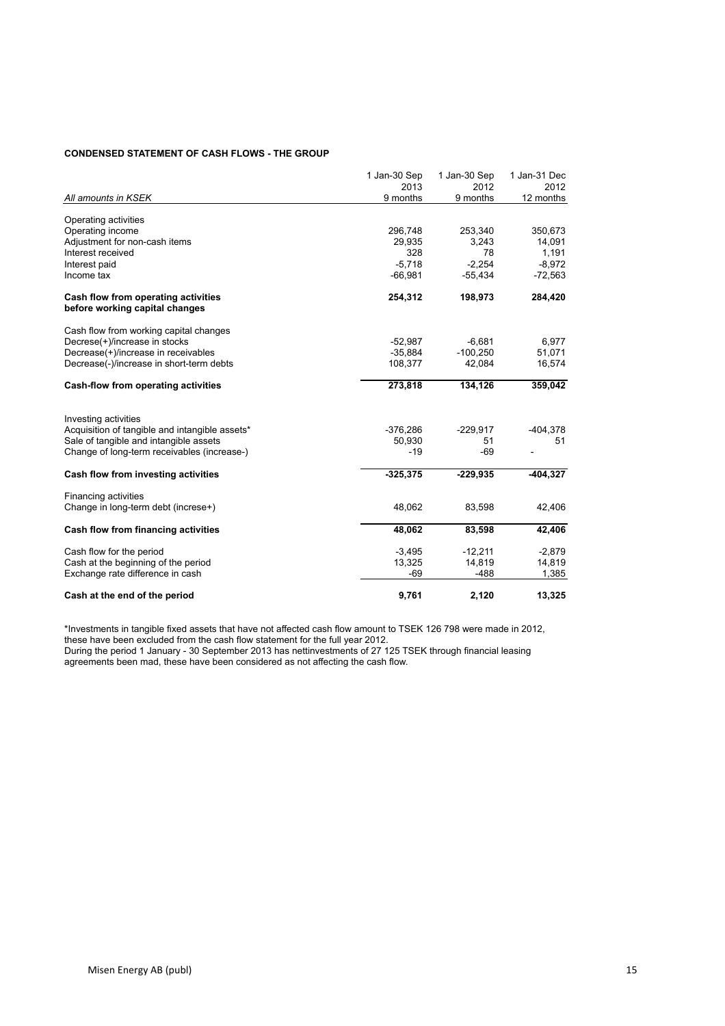### **CONDENSED STATEMENT OF CASH FLOWS - THE GROUP**

|                                                                       | 1 Jan-30 Sep<br>2013 | 1 Jan-30 Sep<br>2012 | 1 Jan-31 Dec<br>2012 |
|-----------------------------------------------------------------------|----------------------|----------------------|----------------------|
| All amounts in KSEK                                                   | 9 months             | 9 months             | 12 months            |
|                                                                       |                      |                      |                      |
| Operating activities                                                  |                      |                      |                      |
| Operating income                                                      | 296,748              | 253,340              | 350,673              |
| Adjustment for non-cash items                                         | 29,935               | 3,243                | 14,091               |
| Interest received                                                     | 328                  | 78                   | 1,191                |
| Interest paid                                                         | $-5,718$             | $-2,254$             | $-8,972$             |
| Income tax                                                            | $-66,981$            | $-55.434$            | $-72,563$            |
| Cash flow from operating activities<br>before working capital changes | 254,312              | 198,973              | 284,420              |
| Cash flow from working capital changes                                |                      |                      |                      |
| Decrese(+)/increase in stocks                                         | $-52,987$            | $-6,681$             | 6,977                |
| Decrease(+)/increase in receivables                                   | $-35,884$            | $-100,250$           | 51,071               |
| Decrease(-)/increase in short-term debts                              | 108,377              | 42,084               | 16,574               |
| Cash-flow from operating activities                                   | 273,818              | 134,126              | 359,042              |
| Investing activities                                                  |                      |                      |                      |
| Acquisition of tangible and intangible assets*                        | $-376,286$           | $-229,917$           | $-404,378$           |
| Sale of tangible and intangible assets                                | 50,930               | 51                   | 51                   |
| Change of long-term receivables (increase-)                           | $-19$                | $-69$                |                      |
| Cash flow from investing activities                                   | $-325,375$           | $-229,935$           | $-404,327$           |
| Financing activities                                                  |                      |                      |                      |
| Change in long-term debt (increse+)                                   | 48,062               | 83,598               | 42,406               |
| Cash flow from financing activities                                   | 48,062               | 83,598               | 42,406               |
| Cash flow for the period                                              | $-3,495$             | $-12,211$            | $-2,879$             |
| Cash at the beginning of the period                                   | 13,325               | 14,819               | 14,819               |
| Exchange rate difference in cash                                      | $-69$                | $-488$               | 1,385                |
| Cash at the end of the period                                         | 9,761                | 2,120                | 13,325               |

\*Investments in tangible fixed assets that have not affected cash flow amount to TSEK 126 798 were made in 2012, these have been excluded from the cash flow statement for the full year 2012.

During the period 1 January - 30 September 2013 has nettinvestments of 27 125 TSEK through financial leasing agreements been mad, these have been considered as not affecting the cash flow.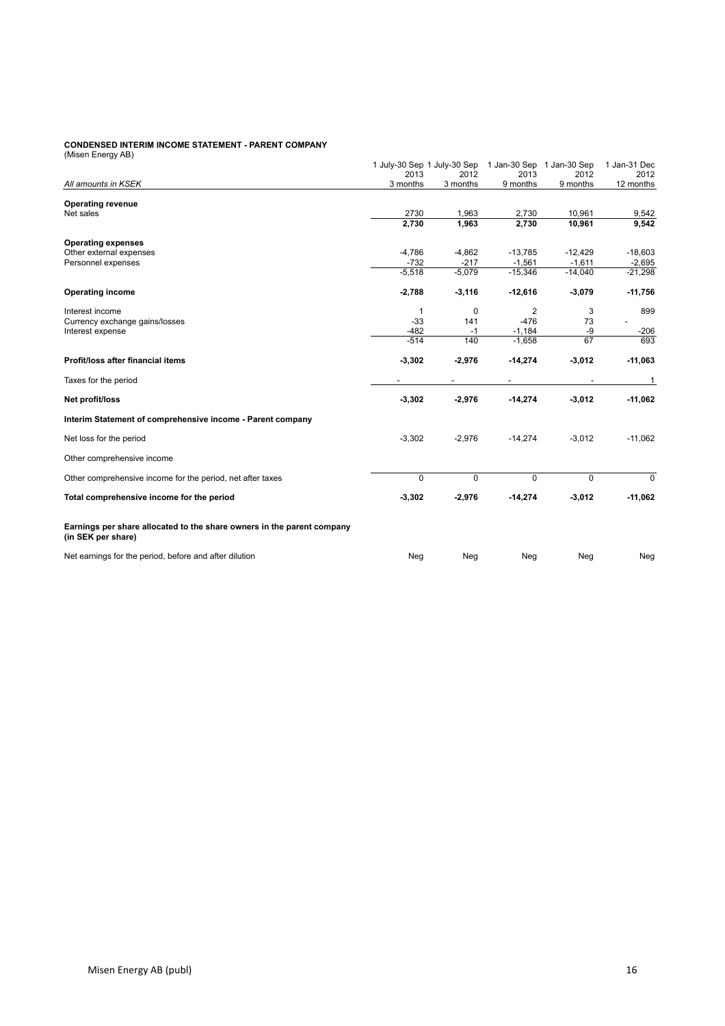#### **CONDENSED INTERIM INCOME STATEMENT - PARENT COMPANY**

(Misen Energy AB)

| (INISCH LICTY AD)                                                                            | 1 July-30 Sep 1 July-30 Sep<br>2013 | 2012     | 2013      | 1 Jan-30 Sep 1 Jan-30 Sep<br>2012 | 1 Jan-31 Dec<br>2012 |
|----------------------------------------------------------------------------------------------|-------------------------------------|----------|-----------|-----------------------------------|----------------------|
| All amounts in KSEK                                                                          | 3 months                            | 3 months | 9 months  | 9 months                          | 12 months            |
| <b>Operating revenue</b>                                                                     |                                     |          |           |                                   |                      |
| Net sales                                                                                    | 2730                                | 1,963    | 2,730     | 10,961                            | 9,542                |
|                                                                                              | 2,730                               | 1,963    | 2,730     | 10,961                            | 9,542                |
| <b>Operating expenses</b>                                                                    |                                     |          |           |                                   |                      |
| Other external expenses                                                                      | $-4,786$                            | $-4,862$ | $-13,785$ | $-12,429$                         | $-18,603$            |
| Personnel expenses                                                                           | $-732$                              | $-217$   | $-1,561$  | $-1,611$                          | $-2,695$             |
|                                                                                              | $-5,518$                            | $-5,079$ | $-15,346$ | $-14,040$                         | $-21,298$            |
| <b>Operating income</b>                                                                      | $-2,788$                            | $-3,116$ | $-12,616$ | $-3,079$                          | $-11,756$            |
| Interest income                                                                              | 1                                   | 0        | 2         | 3                                 | 899                  |
| Currency exchange gains/losses                                                               | $-33$                               | 141      | $-476$    | 73                                |                      |
| Interest expense                                                                             | $-482$                              | $-1$     | $-1,184$  | -9                                | $-206$               |
|                                                                                              | $-514$                              | 140      | $-1,658$  | 67                                | 693                  |
| Profit/loss after financial items                                                            | $-3,302$                            | $-2,976$ | $-14,274$ | $-3,012$                          | $-11,063$            |
| Taxes for the period                                                                         |                                     |          |           |                                   | 1                    |
| Net profit/loss                                                                              | $-3,302$                            | $-2,976$ | $-14,274$ | $-3,012$                          | $-11,062$            |
| Interim Statement of comprehensive income - Parent company                                   |                                     |          |           |                                   |                      |
| Net loss for the period                                                                      | $-3,302$                            | $-2,976$ | $-14,274$ | $-3,012$                          | $-11,062$            |
| Other comprehensive income                                                                   |                                     |          |           |                                   |                      |
| Other comprehensive income for the period, net after taxes                                   | $\Omega$                            | $\Omega$ | $\Omega$  | $\Omega$                          | 0                    |
| Total comprehensive income for the period                                                    | $-3,302$                            | $-2,976$ | $-14,274$ | $-3,012$                          | $-11,062$            |
| Earnings per share allocated to the share owners in the parent company<br>(in SEK per share) |                                     |          |           |                                   |                      |
| Net earnings for the period, before and after dilution                                       | Neg                                 | Neg      | Neg       | Neg                               | Neg                  |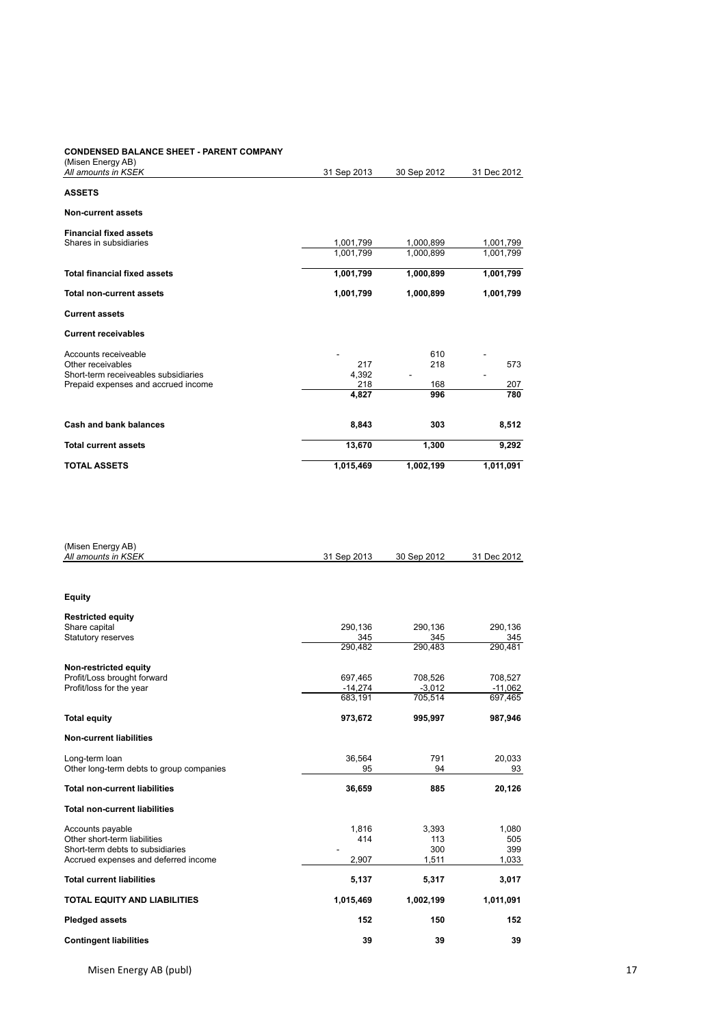# **CONDENSED BALANCE SHEET - PARENT COMPANY**

| <b>TOTAL ASSETS</b>                                     | 1,015,469   | 1,002,199   | 1,011,091   |
|---------------------------------------------------------|-------------|-------------|-------------|
| <b>Total current assets</b>                             | 13,670      | 1,300       | 9,292       |
| Cash and bank balances                                  | 8,843       | 303         | 8,512       |
|                                                         | 4,827       | 996         | 780         |
| Prepaid expenses and accrued income                     | 218         | 168         | 207         |
| Short-term receiveables subsidiaries                    | 4,392       |             |             |
| Other receivables                                       | 217         | 218         | 573         |
| Accounts receiveable                                    |             | 610         |             |
| <b>Current receivables</b>                              |             |             |             |
| <b>Current assets</b>                                   |             |             |             |
| <b>Total non-current assets</b>                         | 1,001,799   | 1,000,899   | 1,001,799   |
| <b>Total financial fixed assets</b>                     | 1,001,799   | 1,000,899   | 1,001,799   |
|                                                         | 1,001,799   | 1,000,899   | 1,001,799   |
| <b>Financial fixed assets</b><br>Shares in subsidiaries | 1,001,799   | 1,000,899   | 1,001,799   |
| <b>Non-current assets</b>                               |             |             |             |
| <b>ASSETS</b>                                           |             |             |             |
| All amounts in KSEK                                     | 31 Sep 2013 | 30 Sep 2012 | 31 Dec 2012 |
| (Misen Energy AB)                                       |             |             |             |

| <b>Contingent liabilities</b>                                    | 39             | 39             | 39             |
|------------------------------------------------------------------|----------------|----------------|----------------|
| <b>Pledged assets</b>                                            | 152            | 150            | 152            |
| <b>TOTAL EQUITY AND LIABILITIES</b>                              | 1,015,469      | 1,002,199      | 1,011,091      |
| <b>Total current liabilities</b>                                 | 5,137          | 5,317          | 3,017          |
| Accrued expenses and deferred income                             | 2,907          | 1,511          | 1,033          |
| Other short-term liabilities<br>Short-term debts to subsidiaries | 414            | 113<br>300     | 505<br>399     |
| Accounts payable                                                 | 1,816          | 3,393          | 1,080          |
| <b>Total non-current liabilities</b>                             |                |                |                |
| <b>Total non-current liabilities</b>                             | 36,659         | 885            | 20,126         |
| Other long-term debts to group companies                         | 95             | 94             | 93             |
| Long-term loan                                                   | 36,564         | 791            | 20,033         |
| <b>Non-current liabilities</b>                                   |                |                |                |
| <b>Total equity</b>                                              | 973,672        | 995,997        | 987,946        |
|                                                                  | 683,191        | 705,514        | 697,465        |
| Profit/loss for the year                                         | $-14,274$      | $-3,012$       | $-11,062$      |
| Non-restricted equity<br>Profit/Loss brought forward             | 697,465        | 708,526        | 708,527        |
|                                                                  | 290,482        | 290,483        | 290,481        |
| Share capital<br><b>Statutory reserves</b>                       | 290,136<br>345 | 290,136<br>345 | 290,136<br>345 |
| <b>Restricted equity</b>                                         |                |                |                |
| <b>Equity</b>                                                    |                |                |                |
|                                                                  |                |                |                |
| (Misen Energy AB)<br>All amounts in KSEK                         | 31 Sep 2013    | 30 Sep 2012    | 31 Dec 2012    |
|                                                                  |                |                |                |

Misen Energy AB (publ) 17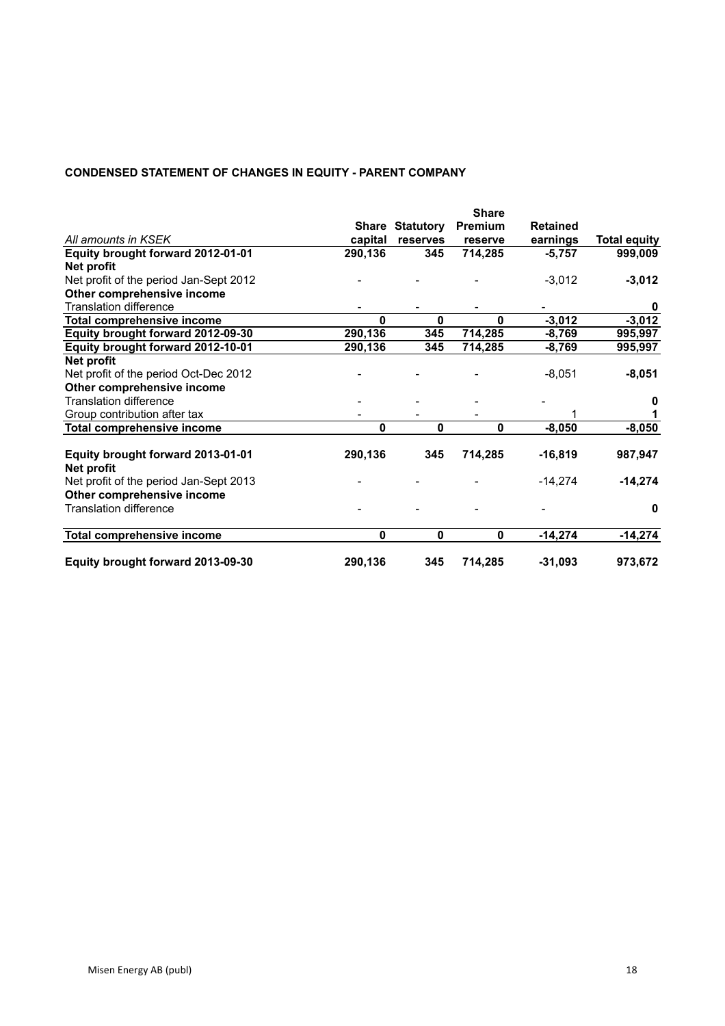# **CONDENSED STATEMENT OF CHANGES IN EQUITY - PARENT COMPANY**

|                                                 |              |                        | <b>Share</b> |                 |                     |
|-------------------------------------------------|--------------|------------------------|--------------|-----------------|---------------------|
|                                                 |              | <b>Share Statutory</b> | Premium      | <b>Retained</b> |                     |
| All amounts in KSEK                             | capital      | reserves               | reserve      | earnings        | <b>Total equity</b> |
| Equity brought forward 2012-01-01               | 290,136      | 345                    | 714,285      | $-5,757$        | 999,009             |
| Net profit                                      |              |                        |              |                 |                     |
| Net profit of the period Jan-Sept 2012          |              |                        |              | $-3,012$        | $-3,012$            |
| Other comprehensive income                      |              |                        |              |                 |                     |
| <b>Translation difference</b>                   |              |                        |              |                 | 0                   |
| <b>Total comprehensive income</b>               | 0            | 0                      | $\mathbf{0}$ | $-3,012$        | $-3,012$            |
| Equity brought forward 2012-09-30               | 290,136      | 345                    | 714,285      | $-8,769$        | 995,997             |
| Equity brought forward 2012-10-01               | 290,136      | 345                    | 714,285      | $-8,769$        | 995,997             |
| Net profit                                      |              |                        |              |                 |                     |
| Net profit of the period Oct-Dec 2012           |              |                        |              | $-8,051$        | $-8,051$            |
| Other comprehensive income                      |              |                        |              |                 |                     |
| <b>Translation difference</b>                   |              |                        |              |                 | 0                   |
| Group contribution after tax                    |              |                        |              |                 |                     |
| <b>Total comprehensive income</b>               | $\mathbf{0}$ | 0                      | $\mathbf 0$  | $-8,050$        | $-8,050$            |
|                                                 |              |                        |              |                 |                     |
| Equity brought forward 2013-01-01<br>Net profit | 290,136      | 345                    | 714,285      | $-16,819$       | 987,947             |
| Net profit of the period Jan-Sept 2013          |              |                        |              | $-14,274$       | $-14,274$           |
| Other comprehensive income                      |              |                        |              |                 |                     |
| <b>Translation difference</b>                   |              |                        |              |                 | 0                   |
| <b>Total comprehensive income</b>               | $\mathbf 0$  | 0                      | 0            | $-14,274$       | $-14,274$           |
| Equity brought forward 2013-09-30               | 290,136      | 345                    | 714,285      | $-31,093$       | 973,672             |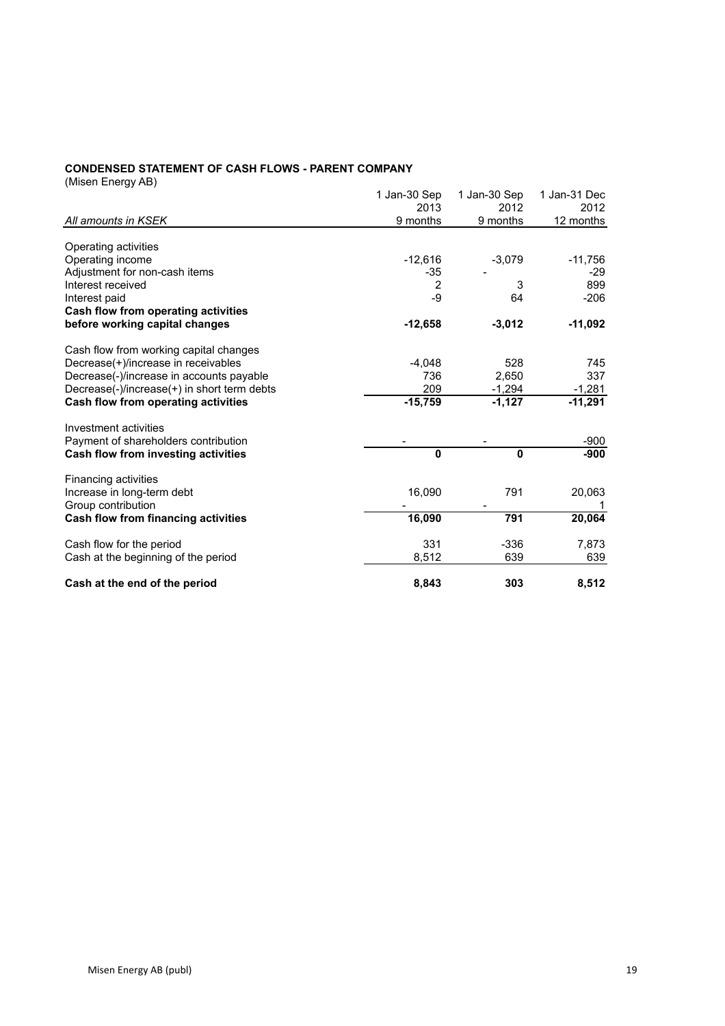#### **CONDENSED STATEMENT OF CASH FLOWS - PARENT COMPANY**

(Misen Energy AB)

|                                             | 1 Jan-30 Sep   | 1 Jan-30 Sep | 1 Jan-31 Dec |
|---------------------------------------------|----------------|--------------|--------------|
|                                             | 2013           | 2012         | 2012         |
| All amounts in KSEK                         | 9 months       | 9 months     | 12 months    |
|                                             |                |              |              |
| Operating activities                        |                |              |              |
| Operating income                            | $-12,616$      | $-3,079$     | $-11,756$    |
| Adjustment for non-cash items               | $-35$          |              | $-29$        |
| Interest received                           | $\overline{2}$ | 3            | 899          |
| Interest paid                               | $-9$           | 64           | $-206$       |
| Cash flow from operating activities         |                |              |              |
| before working capital changes              | $-12,658$      | $-3,012$     | $-11,092$    |
| Cash flow from working capital changes      |                |              |              |
| Decrease(+)/increase in receivables         | $-4,048$       | 528          | 745          |
| Decrease(-)/increase in accounts payable    | 736            | 2.650        | 337          |
| Decrease(-)/increase(+) in short term debts | 209            | $-1,294$     | $-1,281$     |
| Cash flow from operating activities         | $-15,759$      | $-1,127$     | $-11,291$    |
| Investment activities                       |                |              |              |
| Payment of shareholders contribution        |                |              | $-900$       |
| Cash flow from investing activities         | $\mathbf{0}$   | 0            | $-900$       |
| Financing activities                        |                |              |              |
| Increase in long-term debt                  | 16,090         | 791          | 20,063       |
| Group contribution                          |                |              |              |
| Cash flow from financing activities         | 16,090         | 791          | 20,064       |
| Cash flow for the period                    | 331            | $-336$       | 7,873        |
| Cash at the beginning of the period         | 8,512          | 639          | 639          |
| Cash at the end of the period               | 8,843          | 303          | 8,512        |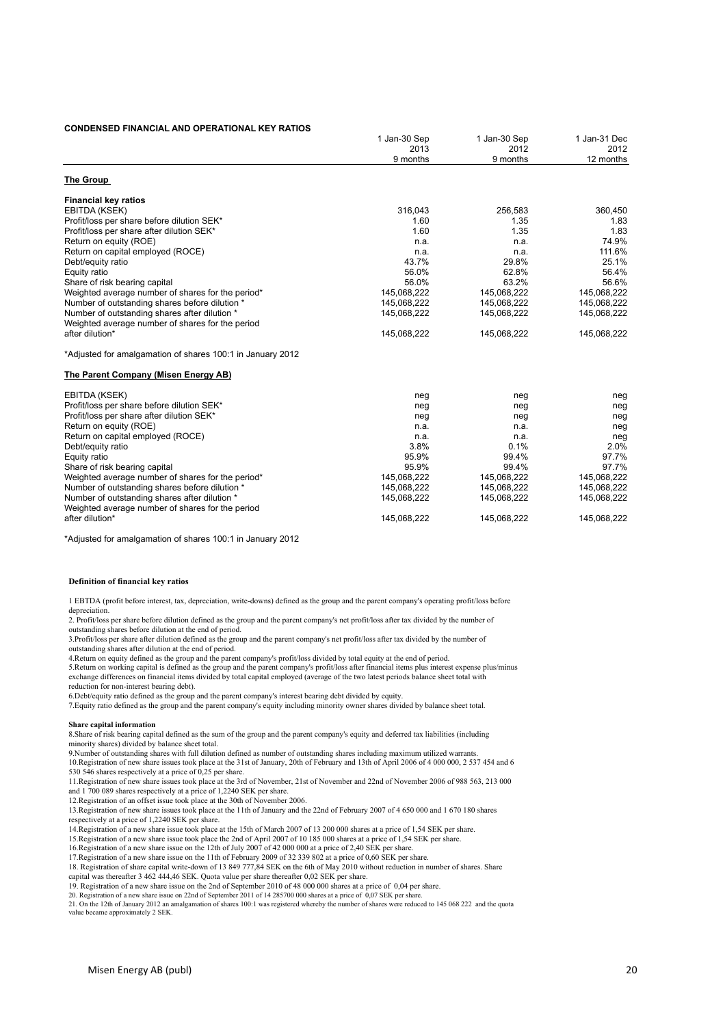#### **CONDENSED FINANCIAL AND OPERATIONAL KEY RATIOS**

| 2013                                                             | 2012        |                   |
|------------------------------------------------------------------|-------------|-------------------|
|                                                                  |             | 2012<br>12 months |
| 9 months                                                         | 9 months    |                   |
| The Group                                                        |             |                   |
| <b>Financial key ratios</b>                                      |             |                   |
| 316,043<br>EBITDA (KSEK)                                         | 256,583     | 360,450           |
| Profit/loss per share before dilution SEK*<br>1.60               | 1.35        | 1.83              |
| Profit/loss per share after dilution SEK*<br>1.60                | 1.35        | 1.83              |
| Return on equity (ROE)<br>n.a.                                   | n.a.        | 74.9%             |
| Return on capital employed (ROCE)<br>n.a.                        | n.a.        | 111.6%            |
| 43.7%<br>Debt/equity ratio                                       | 29.8%       | 25.1%             |
| 56.0%<br>Equity ratio                                            | 62.8%       | 56.4%             |
| 56.0%<br>Share of risk bearing capital                           | 63.2%       | 56.6%             |
| 145,068,222<br>Weighted average number of shares for the period* | 145,068,222 | 145,068,222       |
| Number of outstanding shares before dilution *<br>145,068,222    | 145,068,222 | 145,068,222       |
| Number of outstanding shares after dilution *<br>145,068,222     | 145,068,222 | 145,068,222       |
| Weighted average number of shares for the period                 |             |                   |
| after dilution*<br>145,068,222                                   | 145,068,222 | 145,068,222       |
| *Adjusted for amalgamation of shares 100:1 in January 2012       |             |                   |
| The Parent Company (Misen Energy AB)                             |             |                   |
| EBITDA (KSEK)<br>neg                                             | neg         | neg               |
| Profit/loss per share before dilution SEK*<br>neg                | neg         | neg               |
| Profit/loss per share after dilution SEK*<br>neg                 | neg         | neg               |
| Return on equity (ROE)<br>n.a.                                   | n.a.        | neg               |
| Return on capital employed (ROCE)<br>n.a.                        | n.a.        | neg               |
| 3.8%<br>Debt/equity ratio                                        | 0.1%        | 2.0%              |
| 95.9%<br>Equity ratio                                            | 99.4%       | 97.7%             |
| Share of risk bearing capital<br>95.9%                           | 99.4%       | 97.7%             |
| Weighted average number of shares for the period*<br>145,068,222 | 145,068,222 | 145,068,222       |
| Number of outstanding shares before dilution *<br>145,068,222    | 145,068,222 | 145,068,222       |
| Number of outstanding shares after dilution *<br>145,068,222     | 145,068,222 | 145,068,222       |
| Weighted average number of shares for the period                 |             |                   |
| after dilution*<br>145,068,222                                   | 145,068,222 | 145,068,222       |

\*Adjusted for amalgamation of shares 100:1 in January 2012

#### **Definition of financial key ratios**

1 EBTDA (profit before interest, tax, depreciation, write-downs) defined as the group and the parent company's operating profit/loss before

depreciation. 2. Profit/loss per share before dilution defined as the group and the parent company's net profit/loss after tax divided by the number of outstanding shares before dilution at the end of period.

3.Profit/loss per share after dilution defined as the group and the parent company's net profit/loss after tax divided by the number of

outstanding shares after dilution at the end of period. 4.Return on equity defined as the group and the parent company's profit/loss divided by total equity at the end of period.

exchange differences on financial items divided by total capital employed (average of the two latest periods balance sheet total with 5.Return on working capital is defined as the group and the parent company's profit/loss after financial items plus interest expense plus/minus

reduction for non-interest bearing debt).

6.Debt/equity ratio defined as the group and the parent company's interest bearing debt divided by equity.<br>7.Equity ratio defined as the group and the parent company's equity including minority owner shares divided by bala

#### **Share capital information**

8.Share of risk bearing capital defined as the sum of the group and the parent company's equity and deferred tax liabilities (including minority shares) divided by balance sheet total.

9.<br>9.Number of outstanding shares with full dilution defined as number of outstanding shares including maximum utilized warrants.

10.Registration of new share issues took place at the 31st of January, 20th of February and 13th of April 2006 of 4 000 000, 2 537 454 and 6 530 546 shares respectively at a price of 0,25 per share.

11.Registration of new share issues took place at the 3rd of November, 21st of November and 22nd of November 2006 of 988 563, 213 000 and 1 700 089 shares respectively at a price of 1,2240 SEK per share.

12. Registration of an offset issue took place at the 30th of November 2006.

13.Registration of new share issues took place at the 11th of January and the 22nd of February 2007 of 4 650 000 and 1 670 180 shares

respectively at a price of 1,2240 SEK per share.

14.Registration of a new share issue took place at the 15th of March 2007 of 13 200 000 shares at a price of 1,54 SEK per share.

15.Registration of a new share issue took place the 2nd of April 2007 of 10 185 000 shares at a price of 1,54 SEK per share.

16.Registration of a new share issue on the 12th of July 2007 of 42 000 000 at a price of 2,40 SEK per share.

17. Registration of a new share issue on the 11th of February 2009 of 32 339 802 at a price of 0,60 SEK per share. 18. Registration of share capital write-down of 13 849 777,84 SEK on the 6th of May 2010 without reduction in number of shares. Share capital was thereafter 3 462 444,46 SEK. Quota value per share thereafter 0,02 SEK per share.

19. Registration of a new share issue on the 2nd of September 2010 of 48 000 000 shares at a price of 0,04 per share.<br>20. Registration of a new share issue on 22nd of September 2011 of 14 285700 000 shares at a price of 0, value became approximately 2 SEK.